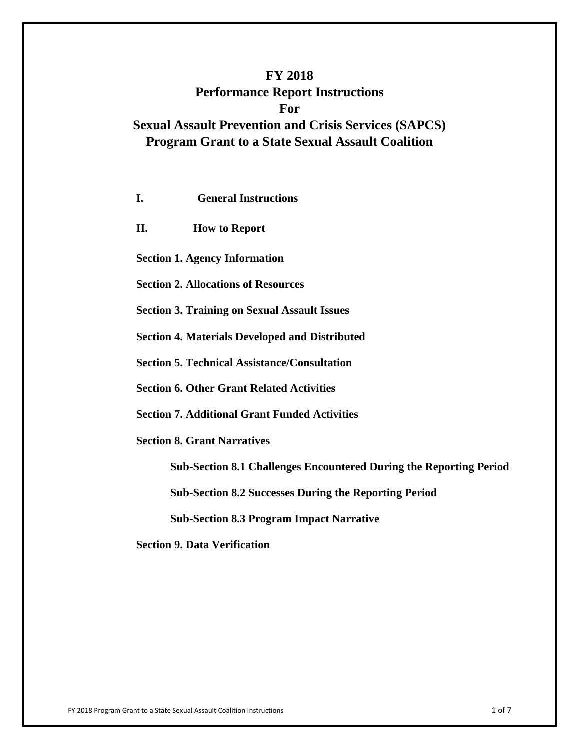# **FY 2018 Performance Report Instructions For Sexual Assault Prevention and Crisis Services (SAPCS) Program Grant to a State Sexual Assault Coalition**

| <b>General Instructions</b><br>I.                                         |
|---------------------------------------------------------------------------|
| П.<br><b>How to Report</b>                                                |
| <b>Section 1. Agency Information</b>                                      |
| <b>Section 2. Allocations of Resources</b>                                |
| <b>Section 3. Training on Sexual Assault Issues</b>                       |
| <b>Section 4. Materials Developed and Distributed</b>                     |
| <b>Section 5. Technical Assistance/Consultation</b>                       |
| <b>Section 6. Other Grant Related Activities</b>                          |
| <b>Section 7. Additional Grant Funded Activities</b>                      |
| <b>Section 8. Grant Narratives</b>                                        |
| <b>Sub-Section 8.1 Challenges Encountered During the Reporting Period</b> |
| <b>Sub-Section 8.2 Successes During the Reporting Period</b>              |
| <b>Sub-Section 8.3 Program Impact Narrative</b>                           |
| <b>Section 9. Data Verification</b>                                       |
|                                                                           |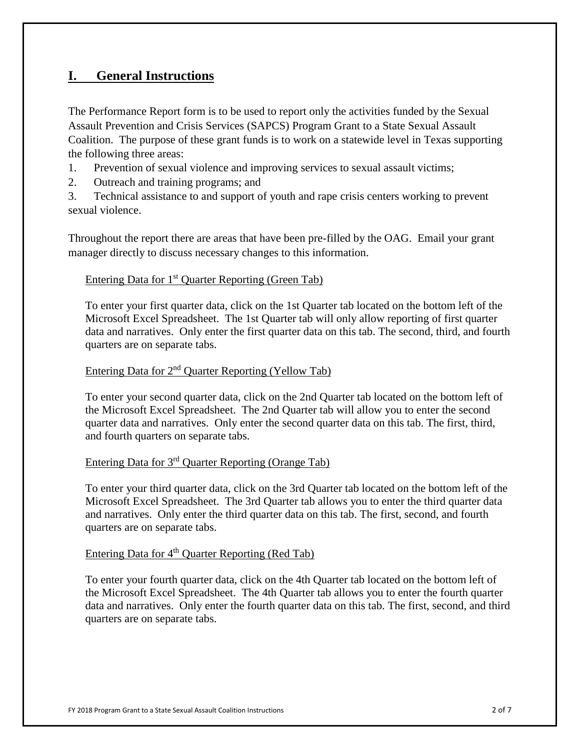## **I. General Instructions**

The Performance Report form is to be used to report only the activities funded by the Sexual Assault Prevention and Crisis Services (SAPCS) Program Grant to a State Sexual Assault Coalition. The purpose of these grant funds is to work on a statewide level in Texas supporting the following three areas:

- 1. Prevention of sexual violence and improving services to sexual assault victims;
- 2. Outreach and training programs; and

3. Technical assistance to and support of youth and rape crisis centers working to prevent sexual violence.

Throughout the report there are areas that have been pre-filled by the OAG. Email your grant manager directly to discuss necessary changes to this information.

## Entering Data for  $1<sup>st</sup>$  Quarter Reporting (Green Tab)

To enter your first quarter data, click on the 1st Quarter tab located on the bottom left of the Microsoft Excel Spreadsheet. The 1st Quarter tab will only allow reporting of first quarter data and narratives. Only enter the first quarter data on this tab. The second, third, and fourth quarters are on separate tabs.

## Entering Data for  $2<sup>nd</sup>$  Quarter Reporting (Yellow Tab)

To enter your second quarter data, click on the 2nd Quarter tab located on the bottom left of the Microsoft Excel Spreadsheet. The 2nd Quarter tab will allow you to enter the second quarter data and narratives. Only enter the second quarter data on this tab. The first, third, and fourth quarters on separate tabs.

# Entering Data for 3rd Quarter Reporting (Orange Tab)

To enter your third quarter data, click on the 3rd Quarter tab located on the bottom left of the Microsoft Excel Spreadsheet. The 3rd Quarter tab allows you to enter the third quarter data and narratives. Only enter the third quarter data on this tab. The first, second, and fourth quarters are on separate tabs.

## Entering Data for  $4<sup>th</sup>$  Quarter Reporting (Red Tab)

To enter your fourth quarter data, click on the 4th Quarter tab located on the bottom left of the Microsoft Excel Spreadsheet. The 4th Quarter tab allows you to enter the fourth quarter data and narratives. Only enter the fourth quarter data on this tab. The first, second, and third quarters are on separate tabs.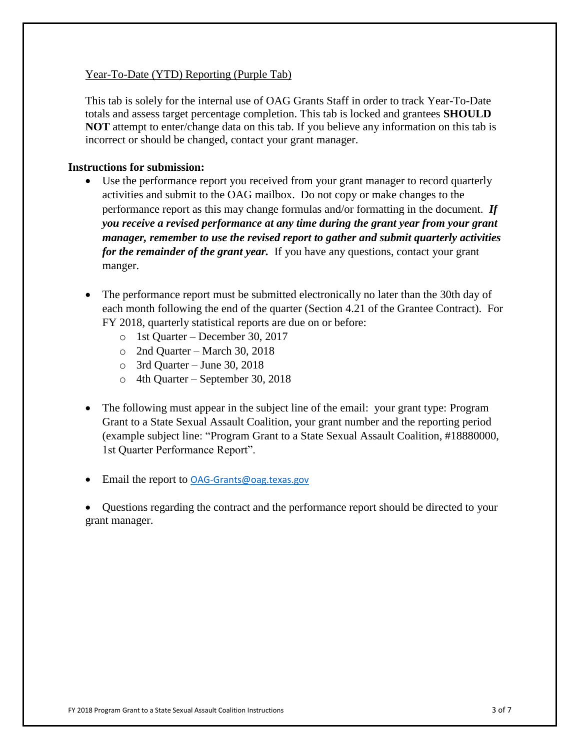## Year-To-Date (YTD) Reporting (Purple Tab)

This tab is solely for the internal use of OAG Grants Staff in order to track Year-To-Date totals and assess target percentage completion. This tab is locked and grantees **SHOULD NOT** attempt to enter/change data on this tab. If you believe any information on this tab is incorrect or should be changed, contact your grant manager.

#### **Instructions for submission:**

- Use the performance report you received from your grant manager to record quarterly activities and submit to the OAG mailbox. Do not copy or make changes to the performance report as this may change formulas and/or formatting in the document. *If you receive a revised performance at any time during the grant year from your grant manager, remember to use the revised report to gather and submit quarterly activities for the remainder of the grant year.* If you have any questions, contact your grant manger.
- The performance report must be submitted electronically no later than the 30th day of each month following the end of the quarter (Section 4.21 of the Grantee Contract). For FY 2018, quarterly statistical reports are due on or before:
	- o 1st Quarter December 30, 2017
	- o 2nd Quarter March 30, 2018
	- o 3rd Quarter June 30, 2018
	- o 4th Quarter September 30, 2018
- The following must appear in the subject line of the email: your grant type: Program Grant to a State Sexual Assault Coalition, your grant number and the reporting period (example subject line: "Program Grant to a State Sexual Assault Coalition, #18880000, 1st Quarter Performance Report".
- Email the report to <OAG-Grants@oag.texas.gov>

• Questions regarding the contract and the performance report should be directed to your grant manager.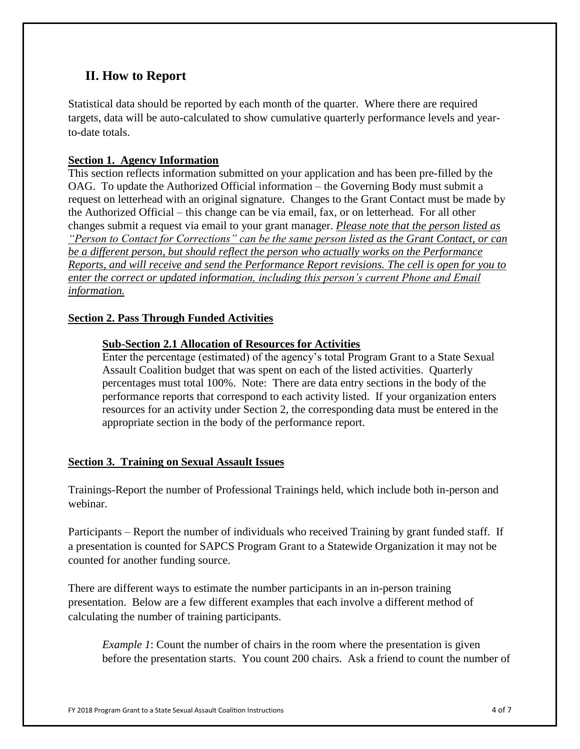## **II. How to Report**

Statistical data should be reported by each month of the quarter. Where there are required targets, data will be auto-calculated to show cumulative quarterly performance levels and yearto-date totals.

## **Section 1. Agency Information**

This section reflects information submitted on your application and has been pre-filled by the OAG. To update the Authorized Official information – the Governing Body must submit a request on letterhead with an original signature. Changes to the Grant Contact must be made by the Authorized Official – this change can be via email, fax, or on letterhead. For all other changes submit a request via email to your grant manager. *Please note that the person listed as "Person to Contact for Corrections" can be the same person listed as the Grant Contact, or can be a different person, but should reflect the person who actually works on the Performance Reports, and will receive and send the Performance Report revisions. The cell is open for you to enter the correct or updated information, including this person's current Phone and Email information.*

## **Section 2. Pass Through Funded Activities**

## **Sub-Section 2.1 Allocation of Resources for Activities**

Enter the percentage (estimated) of the agency's total Program Grant to a State Sexual Assault Coalition budget that was spent on each of the listed activities. Quarterly percentages must total 100%. Note: There are data entry sections in the body of the performance reports that correspond to each activity listed. If your organization enters resources for an activity under Section 2, the corresponding data must be entered in the appropriate section in the body of the performance report.

## **Section 3. Training on Sexual Assault Issues**

Trainings-Report the number of Professional Trainings held, which include both in-person and webinar.

Participants – Report the number of individuals who received Training by grant funded staff. If a presentation is counted for SAPCS Program Grant to a Statewide Organization it may not be counted for another funding source.

There are different ways to estimate the number participants in an in-person training presentation. Below are a few different examples that each involve a different method of calculating the number of training participants.

*Example 1*: Count the number of chairs in the room where the presentation is given before the presentation starts. You count 200 chairs. Ask a friend to count the number of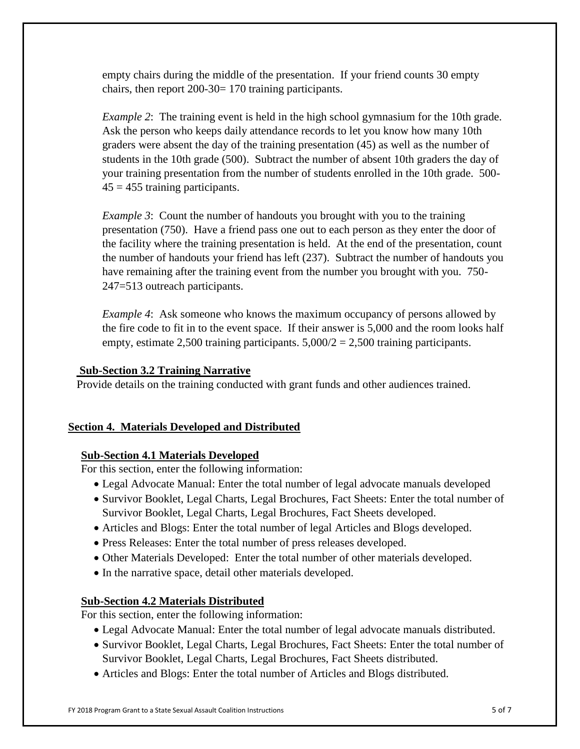empty chairs during the middle of the presentation. If your friend counts 30 empty chairs, then report 200-30= 170 training participants.

*Example 2*: The training event is held in the high school gymnasium for the 10th grade. Ask the person who keeps daily attendance records to let you know how many 10th graders were absent the day of the training presentation (45) as well as the number of students in the 10th grade (500). Subtract the number of absent 10th graders the day of your training presentation from the number of students enrolled in the 10th grade. 500-  $45 = 455$  training participants.

*Example 3*: Count the number of handouts you brought with you to the training presentation (750). Have a friend pass one out to each person as they enter the door of the facility where the training presentation is held. At the end of the presentation, count the number of handouts your friend has left (237). Subtract the number of handouts you have remaining after the training event from the number you brought with you. 750- 247=513 outreach participants.

*Example 4*: Ask someone who knows the maximum occupancy of persons allowed by the fire code to fit in to the event space. If their answer is 5,000 and the room looks half empty, estimate 2,500 training participants.  $5,000/2 = 2,500$  training participants.

## **Sub-Section 3.2 Training Narrative**

Provide details on the training conducted with grant funds and other audiences trained.

## **Section 4. Materials Developed and Distributed**

## **Sub-Section 4.1 Materials Developed**

For this section, enter the following information:

- Legal Advocate Manual: Enter the total number of legal advocate manuals developed
- Survivor Booklet, Legal Charts, Legal Brochures, Fact Sheets: Enter the total number of Survivor Booklet, Legal Charts, Legal Brochures, Fact Sheets developed.
- Articles and Blogs: Enter the total number of legal Articles and Blogs developed.
- Press Releases: Enter the total number of press releases developed.
- Other Materials Developed: Enter the total number of other materials developed.
- In the narrative space, detail other materials developed.

## **Sub-Section 4.2 Materials Distributed**

For this section, enter the following information:

- Legal Advocate Manual: Enter the total number of legal advocate manuals distributed.
- Survivor Booklet, Legal Charts, Legal Brochures, Fact Sheets: Enter the total number of Survivor Booklet, Legal Charts, Legal Brochures, Fact Sheets distributed.
- Articles and Blogs: Enter the total number of Articles and Blogs distributed.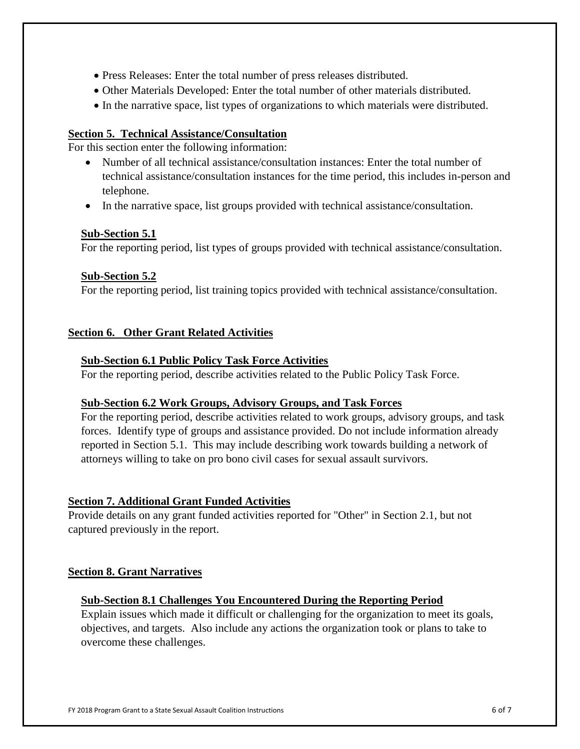- Press Releases: Enter the total number of press releases distributed.
- Other Materials Developed: Enter the total number of other materials distributed.
- In the narrative space, list types of organizations to which materials were distributed.

## **Section 5. Technical Assistance/Consultation**

For this section enter the following information:

- Number of all technical assistance/consultation instances: Enter the total number of technical assistance/consultation instances for the time period, this includes in-person and telephone.
- In the narrative space, list groups provided with technical assistance/consultation.

## **Sub-Section 5.1**

For the reporting period, list types of groups provided with technical assistance/consultation.

## **Sub-Section 5.2**

For the reporting period, list training topics provided with technical assistance/consultation.

## **Section 6. Other Grant Related Activities**

## **Sub-Section 6.1 Public Policy Task Force Activities**

For the reporting period, describe activities related to the Public Policy Task Force.

## **Sub-Section 6.2 Work Groups, Advisory Groups, and Task Forces**

For the reporting period, describe activities related to work groups, advisory groups, and task forces. Identify type of groups and assistance provided. Do not include information already reported in Section 5.1. This may include describing work towards building a network of attorneys willing to take on pro bono civil cases for sexual assault survivors.

## **Section 7. Additional Grant Funded Activities**

Provide details on any grant funded activities reported for "Other" in Section 2.1, but not captured previously in the report.

## **Section 8. Grant Narratives**

## **Sub-Section 8.1 Challenges You Encountered During the Reporting Period**

Explain issues which made it difficult or challenging for the organization to meet its goals, objectives, and targets. Also include any actions the organization took or plans to take to overcome these challenges.